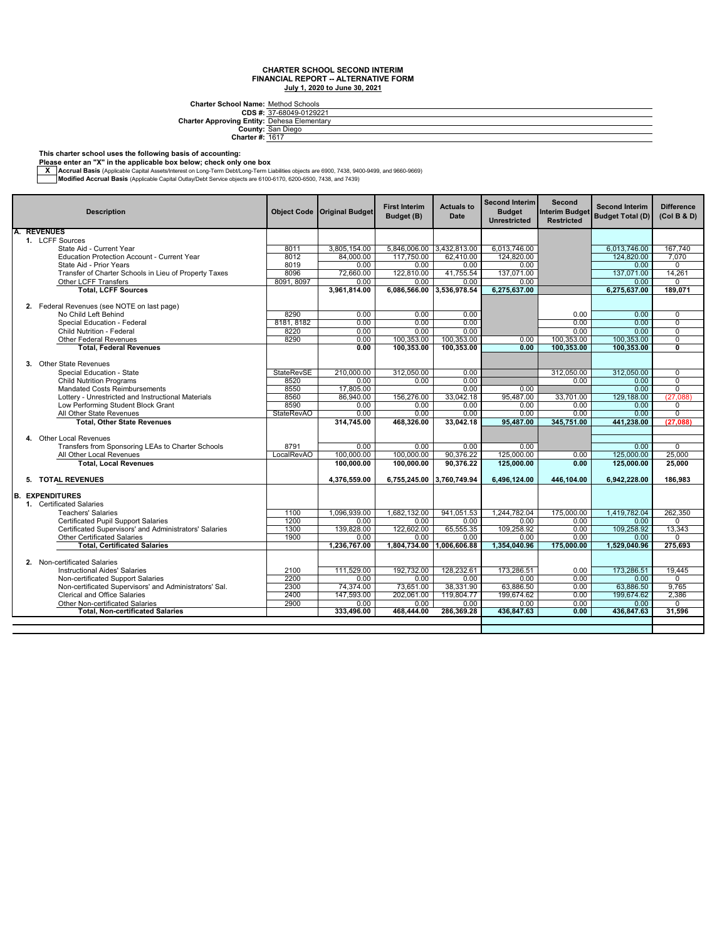**Charter School Name:** Method Schools

|                                                    | CDS #: 37-68049-0129221 |
|----------------------------------------------------|-------------------------|
| <b>Charter Approving Entity: Dehesa Elementary</b> |                         |
|                                                    | County: San Diego       |
| <b>Charter #: 1617</b>                             |                         |

#### **This charter school uses the following basis of accounting:**

**Please enter an "X" in the applicable box below; check only one box**

— Accrual Basis (Applicable Capital Assets/Interest on Long-Term Debt/Long-Term Liabilities objects are 6900, 7438, 9400-9499, and 9660-9669, Architect State Internal Basis (Applicable Capital Outlay/Debt Service object

| <b>Description</b>                                                  | <b>Object Code</b> | <b>Original Budget</b> | <b>First Interim</b><br>Budget (B) | <b>Actuals to</b><br>Date | <b>Second Interim</b><br><b>Budget</b><br><b>Unrestricted</b> | Second<br><b>Interim Budget</b><br><b>Restricted</b> | <b>Second Interim</b><br><b>Budget Total (D)</b> | <b>Difference</b><br>(Col B & D) |
|---------------------------------------------------------------------|--------------------|------------------------|------------------------------------|---------------------------|---------------------------------------------------------------|------------------------------------------------------|--------------------------------------------------|----------------------------------|
| A.<br><b>REVENUES</b>                                               |                    |                        |                                    |                           |                                                               |                                                      |                                                  |                                  |
| 1. LCFF Sources                                                     |                    |                        |                                    |                           |                                                               |                                                      |                                                  |                                  |
| State Aid - Current Year                                            | 8011               | 3.805.154.00           | 5,846,006.00 3,432,813.00          |                           | 6.013.746.00                                                  |                                                      | 6.013.746.00                                     | 167.740                          |
| <b>Education Protection Account - Current Year</b>                  | 8012               | 84.000.00              | 117.750.00                         | 62.410.00                 | 124.820.00                                                    |                                                      | 124.820.00                                       | 7.070                            |
| State Aid - Prior Years                                             | 8019               | 0.00                   | 0.00                               | 0.00                      | 0.00                                                          |                                                      | 0.00                                             | $\Omega$                         |
| Transfer of Charter Schools in Lieu of Property Taxes               | 8096               | 72.660.00              | 122.810.00                         | 41.755.54                 | 137.071.00                                                    |                                                      | 137.071.00                                       | 14,261                           |
| Other LCFF Transfers                                                | 8091, 8097         | 0.00                   | 0.00                               | 0.00                      | 0.00                                                          |                                                      | 0.00                                             | $\Omega$                         |
| <b>Total, LCFF Sources</b>                                          |                    | 3,961,814.00           | 6,086,566.00                       | 3,536,978.54              | 6,275,637.00                                                  |                                                      | 6,275,637.00                                     | 189,071                          |
|                                                                     |                    |                        |                                    |                           |                                                               |                                                      |                                                  |                                  |
| 2. Federal Revenues (see NOTE on last page)<br>No Child Left Behind |                    |                        |                                    |                           |                                                               |                                                      |                                                  |                                  |
|                                                                     | 8290<br>8181, 8182 | 0.00                   | 0.00<br>0.00                       | 0.00                      |                                                               | 0.00<br>0.00                                         | 0.00<br>0.00                                     | $\Omega$<br>$\Omega$             |
| Special Education - Federal<br><b>Child Nutrition - Federal</b>     | 8220               | 0.00<br>0.00           |                                    | 0.00<br>0.00              |                                                               | 0.00                                                 |                                                  | $\overline{0}$                   |
|                                                                     | 8290               | 0.00                   | 0.00<br>100.353.00                 | 100.353.00                |                                                               | 100.353.00                                           | 0.00<br>100.353.00                               | $\overline{0}$                   |
| Other Federal Revenues<br><b>Total, Federal Revenues</b>            |                    | 0.00                   | 100.353.00                         | 100,353.00                | 0.00<br>0.00                                                  | 100.353.00                                           | 100.353.00                                       | 0                                |
|                                                                     |                    |                        |                                    |                           |                                                               |                                                      |                                                  |                                  |
| 3. Other State Revenues                                             |                    |                        |                                    |                           |                                                               |                                                      |                                                  |                                  |
| Special Education - State                                           | <b>StateRevSE</b>  | 210.000.00             | 312.050.00                         | 0.00                      |                                                               | 312.050.00                                           | 312.050.00                                       | $\Omega$                         |
| <b>Child Nutrition Programs</b>                                     | 8520               | 0.00                   | 0.00                               | 0.00                      |                                                               | 0.00                                                 | 0.00                                             | $\overline{0}$                   |
| <b>Mandated Costs Reimbursements</b>                                | 8550               | 17,805.00              |                                    | 0.00                      | 0.00                                                          |                                                      | 0.00                                             | $\overline{0}$                   |
| Lottery - Unrestricted and Instructional Materials                  | 8560               | 86.940.00              | 156,276.00                         | 33.042.18                 | 95.487.00                                                     | 33.701.00                                            | 129.188.00                                       | (27.088)                         |
| Low Performing Student Block Grant                                  | 8590               | 0.00                   | 0.00                               | 0.00                      | 0.00                                                          | 0.00                                                 | 0.00                                             | $\mathbf 0$                      |
| All Other State Revenues                                            | <b>StateRevAO</b>  | 0.00                   | 0.00                               | 0.00                      | 0.00                                                          | 0.00                                                 | 0.00                                             | $\overline{0}$                   |
| <b>Total, Other State Revenues</b>                                  |                    | 314,745.00             | 468.326.00                         | 33.042.18                 | 95,487.00                                                     | 345,751.00                                           | 441.238.00                                       | (27,088)                         |
|                                                                     |                    |                        |                                    |                           |                                                               |                                                      |                                                  |                                  |
| 4. Other Local Revenues                                             |                    |                        |                                    |                           |                                                               |                                                      |                                                  |                                  |
| Transfers from Sponsoring LEAs to Charter Schools                   | 8791               | 0.00                   | 0.00                               | 0.00                      | 0.00                                                          |                                                      | 0.00                                             | $\overline{0}$                   |
| All Other Local Revenues                                            | LocalRevAO         | 100.000.00             | 100.000.00                         | 90.376.22                 | 125,000.00                                                    | 0.00                                                 | 125,000.00                                       | 25,000                           |
| <b>Total, Local Revenues</b>                                        |                    | 100.000.00             | 100.000.00                         | 90.376.22                 | 125.000.00                                                    | 0.00                                                 | 125.000.00                                       | 25.000                           |
|                                                                     |                    |                        |                                    |                           |                                                               |                                                      |                                                  |                                  |
| 5. TOTAL REVENUES                                                   |                    | 4.376.559.00           |                                    | 6.755.245.00 3.760.749.94 | 6.496.124.00                                                  | 446.104.00                                           | 6.942.228.00                                     | 186.983                          |
|                                                                     |                    |                        |                                    |                           |                                                               |                                                      |                                                  |                                  |
| <b>EXPENDITURES</b><br>B.                                           |                    |                        |                                    |                           |                                                               |                                                      |                                                  |                                  |
| 1. Certificated Salaries                                            |                    |                        |                                    |                           |                                                               |                                                      |                                                  |                                  |
| <b>Teachers' Salaries</b>                                           | 1100               | 1.096.939.00           | 1.682.132.00                       | 941.051.53                | 1.244.782.04                                                  | 175,000.00                                           | 1.419.782.04                                     | 262.350                          |
| <b>Certificated Pupil Support Salaries</b>                          | 1200               | 0.00                   | 0.00                               | 0.00                      | 0.00                                                          | 0.00                                                 | 0.00                                             | $\Omega$                         |
| Certificated Supervisors' and Administrators' Salaries              | 1300               | 139,828.00             | 122.602.00                         | 65,555.35                 | 109,258.92                                                    | 0.00                                                 | 109,258.92                                       | 13,343                           |
| <b>Other Certificated Salaries</b>                                  | 1900               | 0.00                   | 0.00                               | 0.00                      | 0.00                                                          | 0.00                                                 | 0.00                                             | 0                                |
| <b>Total, Certificated Salaries</b>                                 |                    | 1.236.767.00           | 1.804.734.00                       | 1,006,606.88              | 1,354,040.96                                                  | 175,000.00                                           | 1.529.040.96                                     | 275.693                          |
|                                                                     |                    |                        |                                    |                           |                                                               |                                                      |                                                  |                                  |
| 2. Non-certificated Salaries                                        |                    |                        |                                    |                           |                                                               |                                                      |                                                  |                                  |
| <b>Instructional Aides' Salaries</b>                                | 2100               | 111.529.00             | 192.732.00                         | 128.232.61                | 173,286.51                                                    | 0.00                                                 | 173.286.51                                       | 19.445                           |
| Non-certificated Support Salaries                                   | 2200               | 0.00                   | 0.00                               | 0.00                      | 0.00                                                          | 0.00                                                 | 0.00                                             | $\Omega$                         |
| Non-certificated Supervisors' and Administrators' Sal.              | 2300               | 74,374.00              | 73,651.00                          | 38,331.90                 | 63,886.50                                                     | 0.00                                                 | 63,886.50                                        | 9,765                            |
| <b>Clerical and Office Salaries</b>                                 | 2400               | 147,593.00             | 202.061.00                         | 119,804.77                | 199,674.62                                                    | 0.00                                                 | 199,674.62                                       | 2,386                            |
| Other Non-certificated Salaries                                     | 2900               | 0.00                   | 0.00                               | 0.00                      | 0.00                                                          | 0.00                                                 | 0.00                                             | $\Omega$                         |
| <b>Total. Non-certificated Salaries</b>                             |                    | 333,496.00             | 468.444.00                         | 286,369.28                | 436,847.63                                                    | 0.00                                                 | 436,847.63                                       | 31,596                           |
|                                                                     |                    |                        |                                    |                           |                                                               |                                                      |                                                  |                                  |
|                                                                     |                    |                        |                                    |                           |                                                               |                                                      |                                                  |                                  |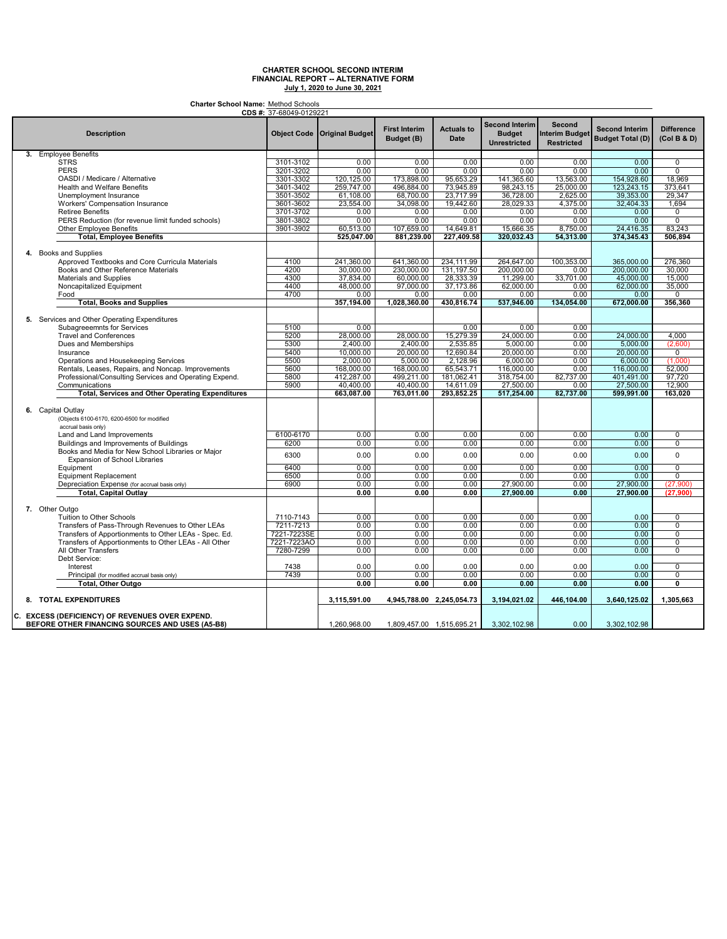**Charter School Name:** Method Schools

|                                                         | <b>CDS #:</b> 37-68049-0129221 |                                    |                                    |                                  |                                                               |                                                      |                                                  |                                  |
|---------------------------------------------------------|--------------------------------|------------------------------------|------------------------------------|----------------------------------|---------------------------------------------------------------|------------------------------------------------------|--------------------------------------------------|----------------------------------|
| <b>Description</b>                                      |                                | <b>Object Code Original Budget</b> | <b>First Interim</b><br>Budget (B) | <b>Actuals to</b><br><b>Date</b> | <b>Second Interim</b><br><b>Budget</b><br><b>Unrestricted</b> | Second<br><b>Interim Budget</b><br><b>Restricted</b> | <b>Second Interim</b><br><b>Budget Total (D)</b> | <b>Difference</b><br>(Col B & D) |
| 3. Employee Benefits                                    |                                |                                    |                                    |                                  |                                                               |                                                      |                                                  |                                  |
| <b>STRS</b>                                             | 3101-3102                      | 0.00                               | 0.00                               | 0.00                             | 0.00                                                          | 0.00                                                 | 0.00                                             | 0                                |
| <b>PERS</b>                                             | 3201-3202                      | 0.00                               | 0.00                               | 0.00                             | 0.00                                                          | 0.00                                                 | 0.00                                             | $\overline{0}$                   |
| OASDI / Medicare / Alternative                          | 3301-3302                      | 120,125.00                         | 173,898.00                         | 95,653.29                        | 141,365.60                                                    | 13,563.00                                            | 154,928.60                                       | 18.969                           |
|                                                         | 3401-3402                      | 259,747.00                         | 496,884.00                         | 73,945.89                        | 98,243.15                                                     | 25,000.00                                            | 123,243.15                                       |                                  |
| <b>Health and Welfare Benefits</b>                      |                                |                                    |                                    |                                  |                                                               |                                                      |                                                  | 373,641                          |
| Unemployment Insurance                                  | 3501-3502                      | 61,108.00                          | 68,700.00                          | 23,717.99                        | 36,728.00                                                     | 2,625.00                                             | 39,353.00                                        | 29,347                           |
| Workers' Compensation Insurance                         | 3601-3602                      | 23,554.00                          | 34,098.00                          | 19,442.60                        | 28,029.33                                                     | 4,375.00                                             | 32,404.33                                        | 1,694                            |
| <b>Retiree Benefits</b>                                 | 3701-3702                      | 0.00                               | 0.00                               | 0.00                             | 0.00                                                          | 0.00                                                 | 0.00                                             | 0                                |
| PERS Reduction (for revenue limit funded schools)       | 3801-3802                      | 0.00                               | 0.00                               | 0.00                             | 0.00                                                          | 0.00                                                 | 0.00                                             | $\overline{0}$                   |
| <b>Other Employee Benefits</b>                          | 3901-3902                      | 60,513.00                          | 107,659.00                         | 14,649.81                        | 15,666.35                                                     | 8,750.00                                             | 24,416.35                                        | 83,243                           |
| <b>Total, Employee Benefits</b>                         |                                | 525,047.00                         | 881,239.00                         | 227,409.58                       | 320,032.43                                                    | 54,313.00                                            | 374,345.43                                       | 506,894                          |
|                                                         |                                |                                    |                                    |                                  |                                                               |                                                      |                                                  |                                  |
| 4. Books and Supplies                                   |                                |                                    |                                    |                                  |                                                               |                                                      |                                                  |                                  |
|                                                         |                                |                                    |                                    |                                  |                                                               |                                                      |                                                  |                                  |
| Approved Textbooks and Core Curricula Materials         | 4100                           | 241,360.00                         | 641,360.00                         | 234,111.99                       | 264,647.00                                                    | 100,353.00                                           | 365,000.00                                       | 276,360                          |
| Books and Other Reference Materials                     | 4200                           | 30,000.00                          | 230,000.00                         | 131.197.50                       | 200.000.00                                                    | 0.00                                                 | 200.000.00                                       | 30.000                           |
| Materials and Supplies                                  | 4300                           | 37,834.00                          | 60,000.00                          | 28,333.39                        | 11,299.00                                                     | 33,701.00                                            | 45,000.00                                        | 15,000                           |
| Noncapitalized Equipment                                | 4400                           | 48,000.00                          | 97,000.00                          | 37,173.86                        | 62,000.00                                                     | 0.00                                                 | 62,000.00                                        | 35,000                           |
| Food                                                    | 4700                           | 0.00                               | 0.00                               | 0.00                             | 0.00                                                          | 0.00                                                 | 0.00                                             | 0                                |
| <b>Total, Books and Supplies</b>                        |                                | 357,194.00                         | 1,028,360.00                       | 430,816.74                       | 537,946.00                                                    | 134.054.00                                           | 672,000.00                                       | 356,360                          |
|                                                         |                                |                                    |                                    |                                  |                                                               |                                                      |                                                  |                                  |
| 5. Services and Other Operating Expenditures            |                                |                                    |                                    |                                  |                                                               |                                                      |                                                  |                                  |
| Subagreeemnts for Services                              | 5100                           | 0.00                               |                                    | 0.00                             | 0.00                                                          | 0.00                                                 |                                                  |                                  |
| <b>Travel and Conferences</b>                           | 5200                           | 28,000.00                          | 28,000.00                          | 15,279.39                        | 24,000.00                                                     | 0.00                                                 | 24,000.00                                        | 4,000                            |
| Dues and Memberships                                    | 5300                           | 2,400.00                           | 2,400.00                           | 2,535.85                         | 5,000.00                                                      | 0.00                                                 | 5,000.00                                         | (2,600)                          |
| Insurance                                               | 5400                           | 10.000.00                          | 20,000.00                          | 12.690.84                        | 20.000.00                                                     | 0.00                                                 | 20,000.00                                        | $\overline{0}$                   |
| Operations and Housekeeping Services                    | 5500                           | 2,000.00                           | 5,000.00                           | 2,128.96                         | 6,000.00                                                      | 0.00                                                 | 6,000.00                                         | (1,000)                          |
| Rentals, Leases, Repairs, and Noncap. Improvements      | 5600                           | 168,000.00                         | 168,000.00                         | 65,543.71                        | 116,000.00                                                    | 0.00                                                 | 116,000.00                                       | 52.000                           |
| Professional/Consulting Services and Operating Expend.  | 5800                           | 412,287.00                         | 499,211.00                         | 181,062.41                       | 318,754.00                                                    | 82,737.00                                            | 401,491.00                                       | 97.720                           |
| Communications                                          | 5900                           | 40.400.00                          | 40.400.00                          | 14.611.09                        | 27,500.00                                                     | 0.00                                                 | 27,500.00                                        | 12.900                           |
|                                                         |                                |                                    |                                    |                                  |                                                               |                                                      |                                                  |                                  |
| <b>Total, Services and Other Operating Expenditures</b> |                                | 663,087.00                         | 763,011.00                         | 293,852.25                       | 517,254.00                                                    | 82,737.00                                            | 599,991.00                                       | 163,020                          |
|                                                         |                                |                                    |                                    |                                  |                                                               |                                                      |                                                  |                                  |
| 6. Capital Outlay                                       |                                |                                    |                                    |                                  |                                                               |                                                      |                                                  |                                  |
| (Objects 6100-6170, 6200-6500 for modified              |                                |                                    |                                    |                                  |                                                               |                                                      |                                                  |                                  |
| accrual basis only)                                     |                                |                                    |                                    |                                  |                                                               |                                                      |                                                  |                                  |
| Land and Land Improvements                              | 6100-6170                      | 0.00                               | 0.00                               | 0.00                             | 0.00                                                          | 0.00                                                 | 0.00                                             | 0                                |
| Buildings and Improvements of Buildings                 | 6200                           | 0.00                               | 0.00                               | 0.00                             | 0.00                                                          | 0.00                                                 | 0.00                                             | $\overline{0}$                   |
| Books and Media for New School Libraries or Major       |                                |                                    |                                    |                                  |                                                               |                                                      |                                                  |                                  |
| Expansion of School Libraries                           | 6300                           | 0.00                               | 0.00                               | 0.00                             | 0.00                                                          | 0.00                                                 | 0.00                                             | $\Omega$                         |
|                                                         | 6400                           | 0.00                               | 0.00                               | 0.00                             | 0.00                                                          | 0.00                                                 | 0.00                                             | 0                                |
| Equipment                                               | 6500                           | 0.00                               | 0.00                               | 0.00                             | 0.00                                                          | 0.00                                                 | 0.00                                             | $\overline{0}$                   |
| <b>Equipment Replacement</b>                            |                                |                                    |                                    |                                  |                                                               |                                                      |                                                  |                                  |
| Depreciation Expense (for accrual basis only)           | 6900                           | 0.00                               | 0.00                               | 0.00                             | 27,900.00                                                     | 0.00                                                 | 27,900.00                                        | (27,900)                         |
| <b>Total, Capital Outlay</b>                            |                                | 0.00                               | 0.00                               | 0.00                             | 27,900.00                                                     | 0.00                                                 | 27.900.00                                        | (27.900)                         |
|                                                         |                                |                                    |                                    |                                  |                                                               |                                                      |                                                  |                                  |
| 7. Other Outgo                                          |                                |                                    |                                    |                                  |                                                               |                                                      |                                                  |                                  |
| Tuition to Other Schools                                | 7110-7143                      | 0.00                               | 0.00                               | 0.00                             | 0.00                                                          | 0.00                                                 | 0.00                                             | 0                                |
| Transfers of Pass-Through Revenues to Other LEAs        | 7211-7213                      | 0.00                               | 0.00                               | 0.00                             | 0.00                                                          | 0.00                                                 | 0.00                                             | $\overline{0}$                   |
| Transfers of Apportionments to Other LEAs - Spec. Ed.   | 7221-7223SE                    | 0.00                               | 0.00                               | 0.00                             | 0.00                                                          | 0.00                                                 | 0.00                                             | 0                                |
| Transfers of Apportionments to Other LEAs - All Other   | 7221-7223AO                    | 0.00                               | 0.00                               | 0.00                             | 0.00                                                          | 0.00                                                 | 0.00                                             | $\mathbf 0$                      |
| All Other Transfers                                     | 7280-7299                      | 0.00                               |                                    | 0.00                             | 0.00                                                          | 0.00                                                 | 0.00                                             | $\overline{0}$                   |
|                                                         |                                |                                    | 0.00                               |                                  |                                                               |                                                      |                                                  |                                  |
| Debt Service:                                           |                                |                                    |                                    |                                  |                                                               |                                                      |                                                  |                                  |
| Interest                                                | 7438                           | 0.00                               | 0.00                               | 0.00                             | 0.00                                                          | 0.00                                                 | 0.00                                             | $\mathbf 0$                      |
| Principal (for modified accrual basis only)             | 7439                           | 0.00                               | 0.00                               | 0.00                             | 0.00                                                          | 0.00                                                 | 0.00                                             | 0                                |
| Total, Other Outgo                                      |                                | 0.00                               | 0.00                               | 0.00                             | 0.00                                                          | 0.00                                                 | 0.00                                             | O                                |
|                                                         |                                |                                    |                                    |                                  |                                                               |                                                      |                                                  |                                  |
| 8. TOTAL EXPENDITURES                                   |                                | 3,115,591.00                       | 4,945,788.00 2,245,054.73          |                                  | 3,194,021.02                                                  | 446,104.00                                           | 3,640,125.02                                     | 1,305,663                        |
| C. EXCESS (DEFICIENCY) OF REVENUES OVER EXPEND.         |                                |                                    |                                    |                                  |                                                               |                                                      |                                                  |                                  |
| BEFORE OTHER FINANCING SOURCES AND USES (A5-B8)         |                                | 1,260,968.00                       | 1,809,457.00 1,515,695.21          |                                  | 3,302,102.98                                                  | 0.00                                                 | 3,302,102.98                                     |                                  |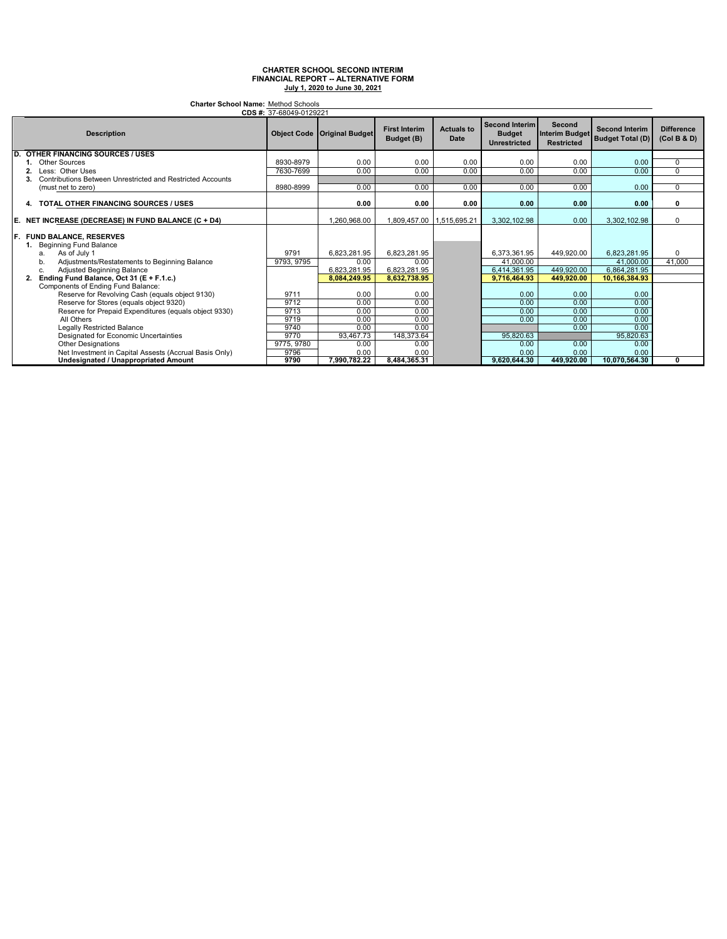**Charter School Name:** Method Schools

|     | CDS #: 37-68049-0129221                                        |            |                                      |                                    |                           |                                                               |                                                             |                                                  |                                  |
|-----|----------------------------------------------------------------|------------|--------------------------------------|------------------------------------|---------------------------|---------------------------------------------------------------|-------------------------------------------------------------|--------------------------------------------------|----------------------------------|
|     | <b>Description</b>                                             |            | <b>Object Code   Original Budget</b> | <b>First Interim</b><br>Budget (B) | <b>Actuals to</b><br>Date | <b>Second Interim</b><br><b>Budget</b><br><b>Unrestricted</b> | <b>Second</b><br><b>Interim Budget</b><br><b>Restricted</b> | <b>Second Interim</b><br><b>Budget Total (D)</b> | <b>Difference</b><br>(Col B & D) |
| D.  | <b>OTHER FINANCING SOURCES / USES</b>                          |            |                                      |                                    |                           |                                                               |                                                             |                                                  |                                  |
|     | <b>Other Sources</b>                                           | 8930-8979  | 0.00                                 | 0.00                               | 0.00                      | 0.00                                                          | 0.00                                                        | 0.00                                             | 0                                |
|     | Less: Other Uses                                               | 7630-7699  | 0.00                                 | 0.00                               | 0.00                      | 0.00                                                          | 0.00                                                        | 0.00                                             | $\overline{0}$                   |
|     | Contributions Between Unrestricted and Restricted Accounts     |            |                                      |                                    |                           |                                                               |                                                             |                                                  |                                  |
|     | (must net to zero)                                             | 8980-8999  | 0.00                                 | 0.00                               | 0.00                      | 0.00                                                          | 0.00                                                        | 0.00                                             | $\Omega$                         |
|     | TOTAL OTHER FINANCING SOURCES / USES<br>4.                     |            | 0.00                                 | 0.00                               | 0.00                      | 0.00                                                          | 0.00                                                        | 0.00                                             | 0                                |
| E.  | NET INCREASE (DECREASE) IN FUND BALANCE (C + D4)               |            | 1,260,968.00                         | 1,809,457.00                       | 1,515,695.21              | 3.302.102.98                                                  | 0.00                                                        | 3,302,102.98                                     | $\Omega$                         |
| IF. | <b>FUND BALANCE, RESERVES</b><br><b>Beginning Fund Balance</b> |            |                                      |                                    |                           |                                                               |                                                             |                                                  |                                  |
|     | As of July 1<br>a.                                             | 9791       | 6,823,281.95                         | 6,823,281.95                       |                           | 6.373.361.95                                                  | 449,920.00                                                  | 6,823,281.95                                     | $\Omega$                         |
|     | Adjustments/Restatements to Beginning Balance<br>b.            | 9793, 9795 | 0.00                                 | 0.00                               |                           | 41.000.00                                                     |                                                             | 41,000.00                                        | 41.000                           |
|     | Adjusted Beginning Balance<br>C.                               |            | 6,823,281.95                         | 6,823,281.95                       |                           | 6,414,361.95                                                  | 449,920.00                                                  | 6,864,281.95                                     |                                  |
|     | Ending Fund Balance, Oct 31 (E + F.1.c.)                       |            | 8.084.249.95                         | 8,632,738.95                       |                           | 9,716,464.93                                                  | 449,920.00                                                  | 10,166,384.93                                    |                                  |
|     | Components of Ending Fund Balance:                             |            |                                      |                                    |                           |                                                               |                                                             |                                                  |                                  |
|     | Reserve for Revolving Cash (equals object 9130)                | 9711       | 0.00                                 | 0.00                               |                           | 0.00                                                          | 0.00                                                        | 0.00                                             |                                  |
|     | Reserve for Stores (equals object 9320)                        | 9712       | 0.00                                 | 0.00                               |                           | 0.00                                                          | 0.00                                                        | 0.00                                             |                                  |
|     | Reserve for Prepaid Expenditures (equals object 9330)          | 9713       | 0.00                                 | 0.00                               |                           | 0.00                                                          | 0.00                                                        | 0.00                                             |                                  |
|     | All Others                                                     | 9719       | 0.00                                 | 0.00                               |                           | 0.00                                                          | 0.00                                                        | 0.00                                             |                                  |
|     | <b>Legally Restricted Balance</b>                              | 9740       | 0.00                                 | 0.00                               |                           |                                                               | 0.00                                                        | 0.00                                             |                                  |
|     | Designated for Economic Uncertainties                          | 9770       | 93,467.73                            | 148,373.64                         |                           | 95,820.63                                                     |                                                             | 95,820.63                                        |                                  |
|     | <b>Other Designations</b>                                      | 9775, 9780 | 0.00                                 | 0.00                               |                           | 0.00                                                          | 0.00                                                        | 0.00                                             |                                  |
|     | Net Investment in Capital Assests (Accrual Basis Only)         | 9796       | 0.00                                 | 0.00                               |                           | 0.00                                                          | 0.00                                                        | 0.00                                             |                                  |
|     | <b>Undesignated / Unappropriated Amount</b>                    | 9790       | 7.990.782.22                         | 8.484.365.31                       |                           | 9.620.644.30                                                  | 449,920.00                                                  | 10,070,564.30                                    | 0                                |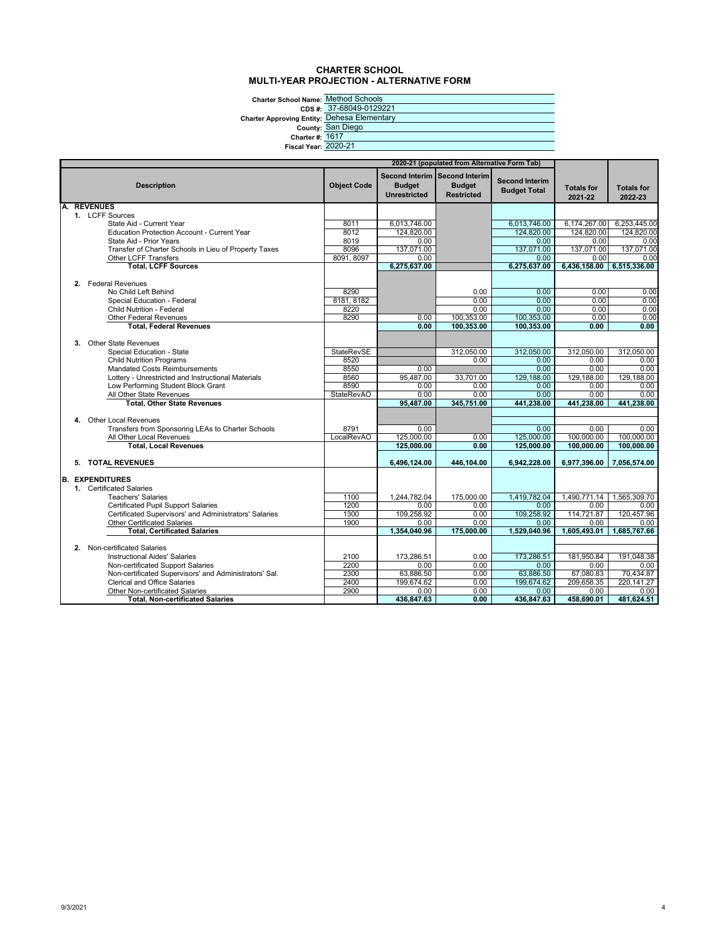#### **CHARTER SCHOOL MULTI-YEAR PROJECTION - ALTERNATIVE FORM**

**Charter School Name:** Method Schools

**Charter Approvi** 

|                             | CDS #: 37-68049-0129221        |
|-----------------------------|--------------------------------|
|                             | ving Entity: Dehesa Elementary |
|                             | County: San Diego              |
| <b>Charter #: 1617</b>      |                                |
| <b>Fiscal Year: 2020-21</b> |                                |
|                             |                                |

| 2020-21 (populated from Alternative Form Tab) |                                                                                               |                           |                                      |                                                                     |                                              |                              |                              |
|-----------------------------------------------|-----------------------------------------------------------------------------------------------|---------------------------|--------------------------------------|---------------------------------------------------------------------|----------------------------------------------|------------------------------|------------------------------|
|                                               |                                                                                               |                           |                                      |                                                                     |                                              |                              |                              |
|                                               | <b>Description</b>                                                                            | <b>Object Code</b>        | <b>Budget</b><br><b>Unrestricted</b> | Second Interim Second Interim<br><b>Budget</b><br><b>Restricted</b> | <b>Second Interim</b><br><b>Budget Total</b> | <b>Totals for</b><br>2021-22 | <b>Totals for</b><br>2022-23 |
|                                               | <b>REVENUES</b>                                                                               |                           |                                      |                                                                     |                                              |                              |                              |
|                                               | 1. LCFF Sources                                                                               |                           |                                      |                                                                     |                                              |                              |                              |
|                                               | State Aid - Current Year                                                                      | 8011                      | 6,013,746.00                         |                                                                     | 6,013,746.00                                 | 6,174,267.00                 | 6,253,445.00                 |
|                                               | <b>Education Protection Account - Current Year</b>                                            | 8012                      | 124.820.00                           |                                                                     | 124.820.00                                   | 124.820.00                   | 124.820.00                   |
|                                               | State Aid - Prior Years                                                                       | 8019                      | 0.00                                 |                                                                     | 0.00                                         | 0.00                         | 0.00                         |
|                                               | Transfer of Charter Schools in Lieu of Property Taxes                                         | 8096                      | 137,071.00                           |                                                                     | 137,071.00                                   | 137,071.00                   | 137,071.00                   |
|                                               | Other LCFF Transfers                                                                          | 8091, 8097                | 0.00                                 |                                                                     | 0.00                                         | 0.00                         | 0.00                         |
|                                               | <b>Total, LCFF Sources</b>                                                                    |                           | 6,275,637.00                         |                                                                     | 6,275,637.00                                 | 6,436,158.00                 | 6,515,336.00                 |
|                                               |                                                                                               |                           |                                      |                                                                     |                                              |                              |                              |
|                                               | 2. Federal Revenues                                                                           |                           |                                      |                                                                     |                                              |                              |                              |
|                                               | No Child Left Behind                                                                          | 8290                      |                                      | 0.00                                                                | 0.00                                         | 0.00                         | 0.00                         |
|                                               | Special Education - Federal                                                                   | 8181, 8182                |                                      | 0.00                                                                | 0.00                                         | 0.00                         | 0.00                         |
|                                               | <b>Child Nutrition - Federal</b>                                                              | 8220                      |                                      | 0.00                                                                | 0.00                                         | 0.00                         | 0.00                         |
|                                               | <b>Other Federal Revenues</b>                                                                 | 8290                      | 0.00                                 | 100,353.00                                                          | 100,353.00                                   | 0.00                         | 0.00                         |
|                                               | <b>Total, Federal Revenues</b>                                                                |                           | 0.00                                 | 100,353.00                                                          | 100,353.00                                   | 0.00                         | 0.00                         |
|                                               |                                                                                               |                           |                                      |                                                                     |                                              |                              |                              |
| 3.                                            | <b>Other State Revenues</b>                                                                   |                           |                                      |                                                                     |                                              |                              |                              |
|                                               | Special Education - State                                                                     | StateRevSE                |                                      | 312,050.00                                                          | 312,050.00                                   | 312,050.00                   | 312,050.00                   |
|                                               | <b>Child Nutrition Programs</b>                                                               | 8520                      | 0.00                                 | 0.00                                                                | 0.00<br>0.00                                 | 0.00<br>0.00                 | 0.00                         |
|                                               | <b>Mandated Costs Reimbursements</b>                                                          | 8550                      |                                      |                                                                     |                                              |                              | 0.00                         |
|                                               | Lottery - Unrestricted and Instructional Materials                                            | 8560                      | 95,487.00                            | 33,701.00                                                           | 129,188.00                                   | 129,188.00                   | 129,188.00                   |
|                                               | Low Performing Student Block Grant                                                            | 8590<br><b>StateRevAO</b> | 0.00<br>0.00                         | 0.00<br>0.00                                                        | 0.00<br>0.00                                 | 0.00<br>0.00                 | 0.00<br>0.00                 |
|                                               | All Other State Revenues<br><b>Total, Other State Revenues</b>                                |                           | 95,487.00                            | 345,751.00                                                          | 441,238.00                                   | 441,238.00                   | 441,238.00                   |
|                                               |                                                                                               |                           |                                      |                                                                     |                                              |                              |                              |
|                                               | 4. Other Local Revenues                                                                       |                           |                                      |                                                                     |                                              |                              |                              |
|                                               | Transfers from Sponsoring LEAs to Charter Schools                                             | 8791                      | 0.00                                 |                                                                     | 0.00                                         | 0.00                         | 0.00                         |
|                                               | All Other Local Revenues                                                                      | LocalRevAO                | 125,000.00                           | 0.00                                                                | 125,000.00                                   | 100,000.00                   | 100,000.00                   |
|                                               | <b>Total, Local Revenues</b>                                                                  |                           | 125.000.00                           | 0.00                                                                | 125.000.00                                   | 100,000.00                   | 100.000.00                   |
|                                               |                                                                                               |                           |                                      |                                                                     |                                              |                              |                              |
|                                               | 5. TOTAL REVENUES                                                                             |                           | 6.496.124.00                         | 446.104.00                                                          | 6,942,228.00                                 | 6,977,396.00                 | 7,056,574.00                 |
|                                               |                                                                                               |                           |                                      |                                                                     |                                              |                              |                              |
|                                               | <b>B. EXPENDITURES</b>                                                                        |                           |                                      |                                                                     |                                              |                              |                              |
|                                               | 1. Certificated Salaries                                                                      |                           |                                      |                                                                     |                                              |                              |                              |
|                                               | <b>Teachers' Salaries</b>                                                                     | 1100                      | 1,244,782.04                         | 175,000.00                                                          | 1,419,782.04                                 | 1,490,771.14                 | 1,565,309.70                 |
|                                               | <b>Certificated Pupil Support Salaries</b>                                                    | 1200                      | 0.00                                 | 0.00                                                                | 0.00                                         | 0.00                         | 0.00                         |
|                                               | Certificated Supervisors' and Administrators' Salaries                                        | 1300                      | 109,258.92                           | 0.00                                                                | 109,258.92                                   | 114,721.87                   | 120.457.96                   |
|                                               | <b>Other Certificated Salaries</b>                                                            | 1900                      | 0.00                                 | 0.00                                                                | 0.00                                         | 0.00                         | 0.00                         |
|                                               | <b>Total, Certificated Salaries</b>                                                           |                           | 1.354.040.96                         | 175,000.00                                                          | 1.529.040.96                                 | 1.605.493.01                 | 1.685.767.66                 |
|                                               |                                                                                               |                           |                                      |                                                                     |                                              |                              |                              |
|                                               | 2. Non-certificated Salaries                                                                  |                           |                                      |                                                                     |                                              |                              |                              |
|                                               | <b>Instructional Aides' Salaries</b>                                                          | 2100                      | 173.286.51                           | 0.00                                                                | 173,286.51                                   | 181,950.84                   | 191.048.38                   |
|                                               | Non-certificated Support Salaries                                                             | 2200                      | 0.00                                 | 0.00                                                                | 0.00                                         | 0.00                         | 0.00                         |
|                                               | Non-certificated Supervisors' and Administrators' Sal.<br><b>Clerical and Office Salaries</b> | 2300<br>2400              | 63,886.50<br>199,674.62              | 0.00<br>0.00                                                        | 63,886.50<br>199.674.62                      | 67,080.83<br>209,658.35      | 70,434.87<br>220.141.27      |
|                                               | <b>Other Non-certificated Salaries</b>                                                        | 2900                      |                                      | 0.00                                                                | 0.00                                         |                              | 0.00                         |
|                                               | <b>Total, Non-certificated Salaries</b>                                                       |                           | 0.00<br>436,847.63                   | 0.00                                                                | 436,847.63                                   | 0.00<br>458,690.01           | 481,624.51                   |
|                                               |                                                                                               |                           |                                      |                                                                     |                                              |                              |                              |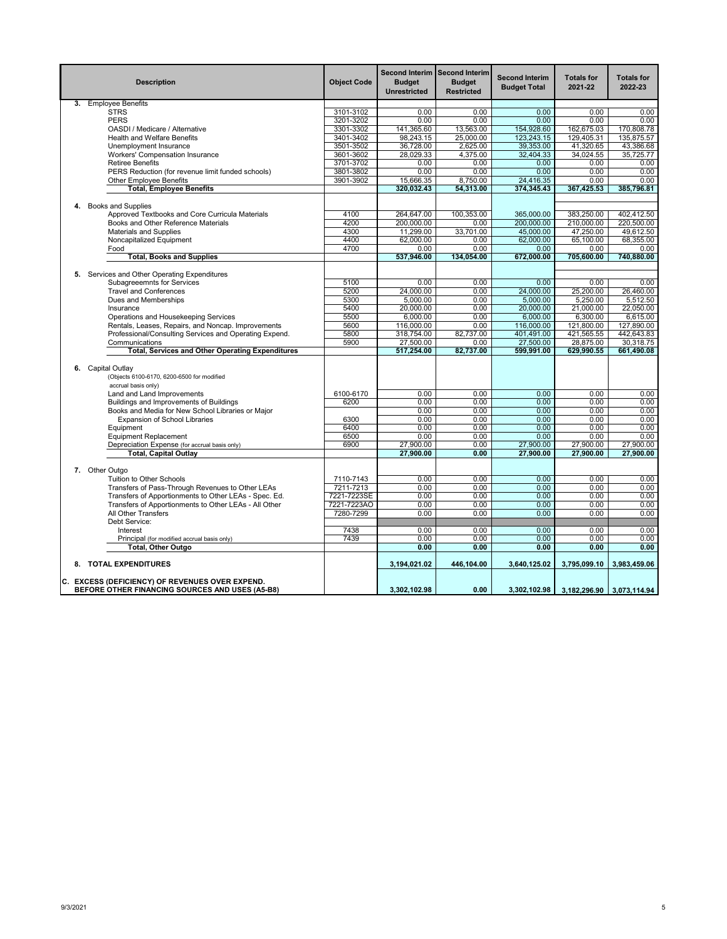|    | <b>Description</b>                                                                                 | <b>Object Code</b> | <b>Budget</b><br><b>Unrestricted</b> | Second Interim Second Interim<br><b>Budget</b><br><b>Restricted</b> | <b>Second Interim</b><br><b>Budget Total</b> | <b>Totals for</b><br>2021-22 | <b>Totals for</b><br>2022-23 |
|----|----------------------------------------------------------------------------------------------------|--------------------|--------------------------------------|---------------------------------------------------------------------|----------------------------------------------|------------------------------|------------------------------|
|    | 3. Employee Benefits                                                                               |                    |                                      |                                                                     |                                              |                              |                              |
|    | <b>STRS</b>                                                                                        | 3101-3102          | 0.00                                 | 0.00                                                                | 0.00                                         | 0.00                         | 0.00                         |
|    | <b>PERS</b>                                                                                        | 3201-3202          | 0.00                                 | 0.00                                                                | 0.00                                         | 0.00                         | 0.00                         |
|    | OASDI / Medicare / Alternative                                                                     | 3301-3302          | 141,365.60                           | 13,563.00                                                           | 154,928.60                                   | 162,675.03                   | 170,808.78                   |
|    | <b>Health and Welfare Benefits</b>                                                                 | 3401-3402          | 98,243.15                            | 25,000.00                                                           | 123,243.15                                   | 129,405.31                   | 135,875.57                   |
|    | Unemployment Insurance                                                                             | 3501-3502          | 36,728.00                            | 2,625.00                                                            | 39,353.00                                    | 41,320.65                    | 43,386.68                    |
|    | Workers' Compensation Insurance                                                                    | 3601-3602          | 28,029.33                            | 4,375.00                                                            | 32,404.33                                    | 34,024.55                    | 35,725.77                    |
|    | <b>Retiree Benefits</b>                                                                            | 3701-3702          | 0.00                                 | 0.00                                                                | 0.00                                         | 0.00                         | 0.00                         |
|    | PERS Reduction (for revenue limit funded schools)                                                  | 3801-3802          | 0.00                                 | 0.00                                                                | 0.00                                         | 0.00                         | 0.00                         |
|    | <b>Other Employee Benefits</b>                                                                     | 3901-3902          | 15,666.35                            | 8,750.00                                                            | 24,416.35                                    | 0.00                         | 0.00                         |
|    | <b>Total, Employee Benefits</b>                                                                    |                    | 320,032.43                           | 54,313.00                                                           | 374,345.43                                   | 367,425.53                   | 385,796.81                   |
|    |                                                                                                    |                    |                                      |                                                                     |                                              |                              |                              |
| 4. | <b>Books and Supplies</b>                                                                          |                    |                                      |                                                                     |                                              |                              |                              |
|    | Approved Textbooks and Core Curricula Materials                                                    | 4100               | 264.647.00                           | 100,353.00                                                          | 365,000.00                                   | 383,250.00                   | 402,412.50                   |
|    | Books and Other Reference Materials                                                                | 4200               | 200,000.00                           | 0.00                                                                | 200,000.00                                   | 210,000.00                   | 220,500.00                   |
|    | <b>Materials and Supplies</b>                                                                      | 4300               | 11,299.00                            | 33,701.00                                                           | 45,000.00                                    | 47,250.00                    | 49,612.50                    |
|    | Noncapitalized Equipment                                                                           | 4400               | 62,000.00                            | 0.00                                                                | 62,000.00                                    | 65,100.00                    | 68,355.00                    |
|    | Food                                                                                               | 4700               | 0.00                                 | 0.00                                                                | 0.00                                         | 0.00                         | 0.00                         |
|    | <b>Total, Books and Supplies</b>                                                                   |                    | 537,946.00                           | 134.054.00                                                          | 672,000.00                                   | 705,600.00                   | 740,880.00                   |
|    |                                                                                                    |                    |                                      |                                                                     |                                              |                              |                              |
|    | 5. Services and Other Operating Expenditures                                                       |                    |                                      |                                                                     |                                              |                              |                              |
|    | <b>Subagreeemnts for Services</b>                                                                  | 5100               | 0.00                                 | 0.00                                                                | 0.00                                         | 0.00                         | 0.00                         |
|    | <b>Travel and Conferences</b>                                                                      | 5200               | 24,000.00                            | 0.00                                                                | 24,000.00                                    | 25,200.00                    | 26.460.00                    |
|    |                                                                                                    | 5300               | 5,000.00                             | 0.00                                                                | 5.000.00                                     | 5.250.00                     |                              |
|    | Dues and Memberships<br>Insurance                                                                  |                    |                                      |                                                                     |                                              |                              | 5,512.50                     |
|    |                                                                                                    | 5400               | 20,000.00                            | 0.00                                                                | 20,000.00                                    | 21,000.00                    | 22,050.00                    |
|    | Operations and Housekeeping Services                                                               | 5500               | 6,000.00                             | 0.00                                                                | 6,000.00                                     | 6,300.00                     | 6,615.00                     |
|    | Rentals, Leases, Repairs, and Noncap. Improvements                                                 | 5600               | 116,000.00                           | 0.00                                                                | 116,000.00                                   | 121,800.00                   | 127,890.00                   |
|    | Professional/Consulting Services and Operating Expend.                                             | 5800               | 318,754.00                           | 82,737.00                                                           | 401,491.00                                   | 421,565.55                   | 442,643.83                   |
|    | Communications                                                                                     | 5900               | 27,500.00                            | 0.00                                                                | 27,500.00                                    | 28.875.00                    | 30.318.75                    |
|    | <b>Total, Services and Other Operating Expenditures</b>                                            |                    | 517,254.00                           | 82,737.00                                                           | 599,991.00                                   | 629,990.55                   | 661,490.08                   |
|    | 6. Capital Outlay<br>(Objects 6100-6170, 6200-6500 for modified<br>accrual basis only)             |                    |                                      |                                                                     |                                              |                              |                              |
|    | Land and Land Improvements                                                                         | 6100-6170          | 0.00                                 | 0.00                                                                | 0.00                                         | 0.00                         | 0.00                         |
|    | Buildings and Improvements of Buildings                                                            | 6200               | 0.00                                 | 0.00                                                                | 0.00                                         | 0.00                         | 0.00                         |
|    | Books and Media for New School Libraries or Major                                                  |                    | 0.00                                 | 0.00                                                                | 0.00                                         | 0.00                         | 0.00                         |
|    | <b>Expansion of School Libraries</b>                                                               | 6300               | 0.00                                 | 0.00                                                                | 0.00                                         | 0.00                         | 0.00                         |
|    | Equipment                                                                                          | 6400               | 0.00                                 | 0.00                                                                | 0.00                                         | 0.00                         | 0.00                         |
|    | <b>Equipment Replacement</b>                                                                       | 6500               | 0.00                                 | 0.00                                                                | 0.00                                         | 0.00                         | 0.00                         |
|    | Depreciation Expense (for accrual basis only)                                                      | 6900               | 27,900.00                            | 0.00                                                                | 27,900.00                                    | 27,900.00                    | 27,900.00                    |
|    | <b>Total, Capital Outlay</b>                                                                       |                    | 27,900.00                            | 0.00                                                                | 27,900.00                                    | 27,900.00                    | 27,900.00                    |
|    |                                                                                                    |                    |                                      |                                                                     |                                              |                              |                              |
|    | 7. Other Outgo                                                                                     |                    |                                      |                                                                     |                                              |                              |                              |
|    | Tuition to Other Schools                                                                           | 7110-7143          | 0.00                                 | 0.00                                                                | 0.00                                         | 0.00                         | 0.00                         |
|    | Transfers of Pass-Through Revenues to Other LEAs                                                   | 7211-7213          | 0.00                                 | 0.00                                                                | 0.00                                         | 0.00                         | 0.00                         |
|    | Transfers of Apportionments to Other LEAs - Spec. Ed.                                              | 7221-7223SE        | 0.00                                 | 0.00                                                                | 0.00                                         | 0.00                         | 0.00                         |
|    | Transfers of Apportionments to Other LEAs - All Other                                              | 7221-7223AO        | 0.00                                 | 0.00                                                                | 0.00                                         | 0.00                         | 0.00                         |
|    | All Other Transfers                                                                                | 7280-7299          | 0.00                                 | 0.00                                                                | 0.00                                         | 0.00                         | 0.00                         |
|    | Debt Service:                                                                                      |                    |                                      |                                                                     |                                              |                              |                              |
|    | Interest                                                                                           | 7438               | 0.00                                 | 0.00                                                                | 0.00                                         | 0.00                         | 0.00                         |
|    | Principal (for modified accrual basis only)                                                        | 7439               | 0.00                                 | 0.00                                                                | 0.00                                         | 0.00                         | 0.00                         |
|    | Total, Other Outgo                                                                                 |                    | 0.00                                 | 0.00                                                                | 0.00                                         | 0.00                         | 0.00                         |
|    | 8. TOTAL EXPENDITURES                                                                              |                    | 3.194.021.02                         | 446,104.00                                                          | 3,640,125.02                                 | 3,795,099.10                 | 3.983.459.06                 |
|    | C. EXCESS (DEFICIENCY) OF REVENUES OVER EXPEND.<br>BEFORE OTHER FINANCING SOURCES AND USES (A5-B8) |                    | 3.302.102.98                         | 0.00                                                                | 3.302.102.98                                 | 3,182,296.90 3,073,114.94    |                              |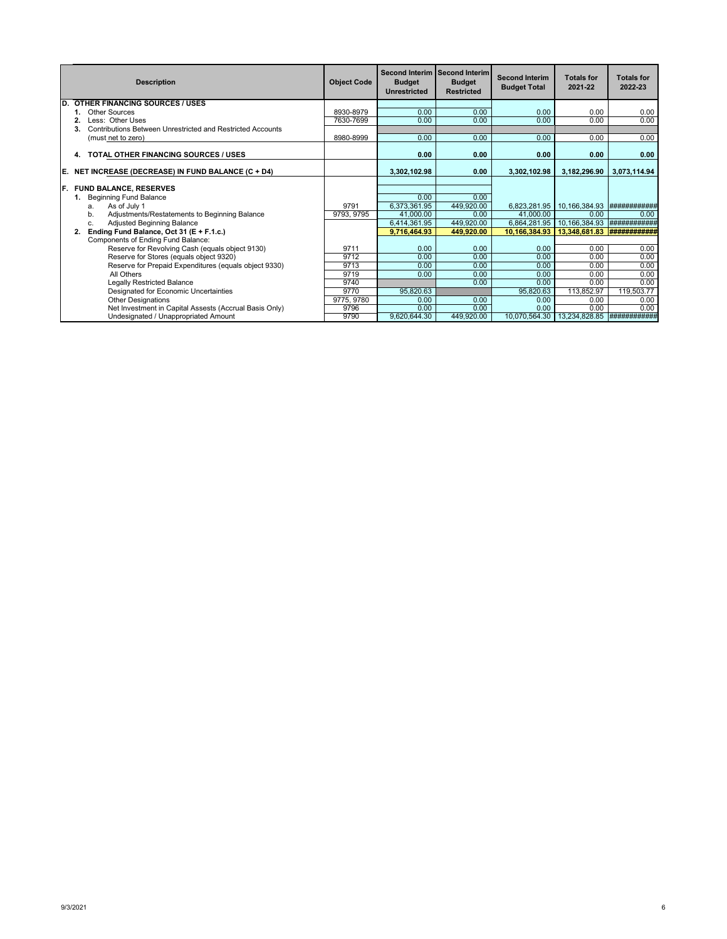|     | <b>Description</b>                                         | <b>Object Code</b> | <b>Budget</b><br><b>Unrestricted</b> | Second Interim Second Interim<br><b>Budget</b><br><b>Restricted</b> | <b>Second Interim</b><br><b>Budget Total</b> | <b>Totals for</b><br>2021-22 | <b>Totals for</b><br>2022-23 |
|-----|------------------------------------------------------------|--------------------|--------------------------------------|---------------------------------------------------------------------|----------------------------------------------|------------------------------|------------------------------|
| ID. | <b>OTHER FINANCING SOURCES / USES</b>                      |                    |                                      |                                                                     |                                              |                              |                              |
|     | Other Sources                                              | 8930-8979          | 0.00                                 | 0.00                                                                | 0.00                                         | 0.00                         | 0.00                         |
|     | Less: Other Uses                                           | 7630-7699          | 0.00                                 | 0.00                                                                | 0.00                                         | 0.00                         | 0.00                         |
|     | Contributions Between Unrestricted and Restricted Accounts |                    |                                      |                                                                     |                                              |                              |                              |
|     | (must net to zero)                                         | 8980-8999          | 0.00                                 | 0.00                                                                | 0.00                                         | 0.00                         | 0.00                         |
|     | TOTAL OTHER FINANCING SOURCES / USES<br>4.                 |                    | 0.00                                 | 0.00                                                                | 0.00                                         | 0.00                         | 0.00                         |
| IE. | NET INCREASE (DECREASE) IN FUND BALANCE (C + D4)           |                    | 3.302.102.98                         | 0.00                                                                | 3,302,102.98                                 | 3,182,296.90                 | 3.073.114.94                 |
|     |                                                            |                    |                                      |                                                                     |                                              |                              |                              |
| IF. | <b>FUND BALANCE, RESERVES</b>                              |                    |                                      |                                                                     |                                              |                              |                              |
|     | <b>Beginning Fund Balance</b>                              |                    | 0.00                                 | 0.00                                                                |                                              |                              |                              |
|     | As of July 1<br>a.                                         | 9791               | 6,373,361.95                         | 449,920.00                                                          | 6.823.281.95                                 | 10,166,384.93                | ###########                  |
|     | b.<br>Adjustments/Restatements to Beginning Balance        | 9793, 9795         | 41.000.00                            | 0.00                                                                | 41.000.00                                    | 0.00                         | 0.00                         |
|     | Adjusted Beginning Balance<br>c.                           |                    | 6,414,361.95                         | 449.920.00                                                          | 6,864,281.95                                 | 10,166,384.93                | ###########                  |
|     | Ending Fund Balance, Oct 31 (E + F.1.c.)<br>2.             |                    | 9,716,464.93                         | 449.920.00                                                          | 10.166.384.93                                | 13,348,681.83                |                              |
|     | Components of Ending Fund Balance:                         |                    |                                      |                                                                     |                                              |                              |                              |
|     | Reserve for Revolving Cash (equals object 9130)            | 9711               | 0.00                                 | 0.00                                                                | 0.00                                         | 0.00                         | 0.00                         |
|     | Reserve for Stores (equals object 9320)                    | 9712               | 0.00                                 | 0.00                                                                | 0.00                                         | 0.00                         | 0.00                         |
|     | Reserve for Prepaid Expenditures (equals object 9330)      | 9713               | 0.00                                 | 0.00                                                                | 0.00                                         | 0.00                         | 0.00                         |
|     | All Others                                                 | 9719               | 0.00                                 | 0.00                                                                | 0.00                                         | 0.00                         | 0.00                         |
|     | <b>Legally Restricted Balance</b>                          | 9740               |                                      | 0.00                                                                | 0.00                                         | 0.00                         | 0.00                         |
|     | Designated for Economic Uncertainties                      | 9770               | 95,820.63                            |                                                                     | 95,820.63                                    | 113,852.97                   | 119,503.77                   |
|     | <b>Other Designations</b>                                  | 9775, 9780         | 0.00                                 | 0.00                                                                | 0.00                                         | 0.00                         | 0.00                         |
|     | Net Investment in Capital Assests (Accrual Basis Only)     | 9796               | 0.00                                 | 0.00                                                                | 0.00                                         | 0.00                         | 0.00                         |
|     | Undesignated / Unappropriated Amount                       | 9790               | 9,620,644.30                         | 449.920.00                                                          | 10,070,564.30                                | 13,234,828.85                | <i>*************</i> **      |